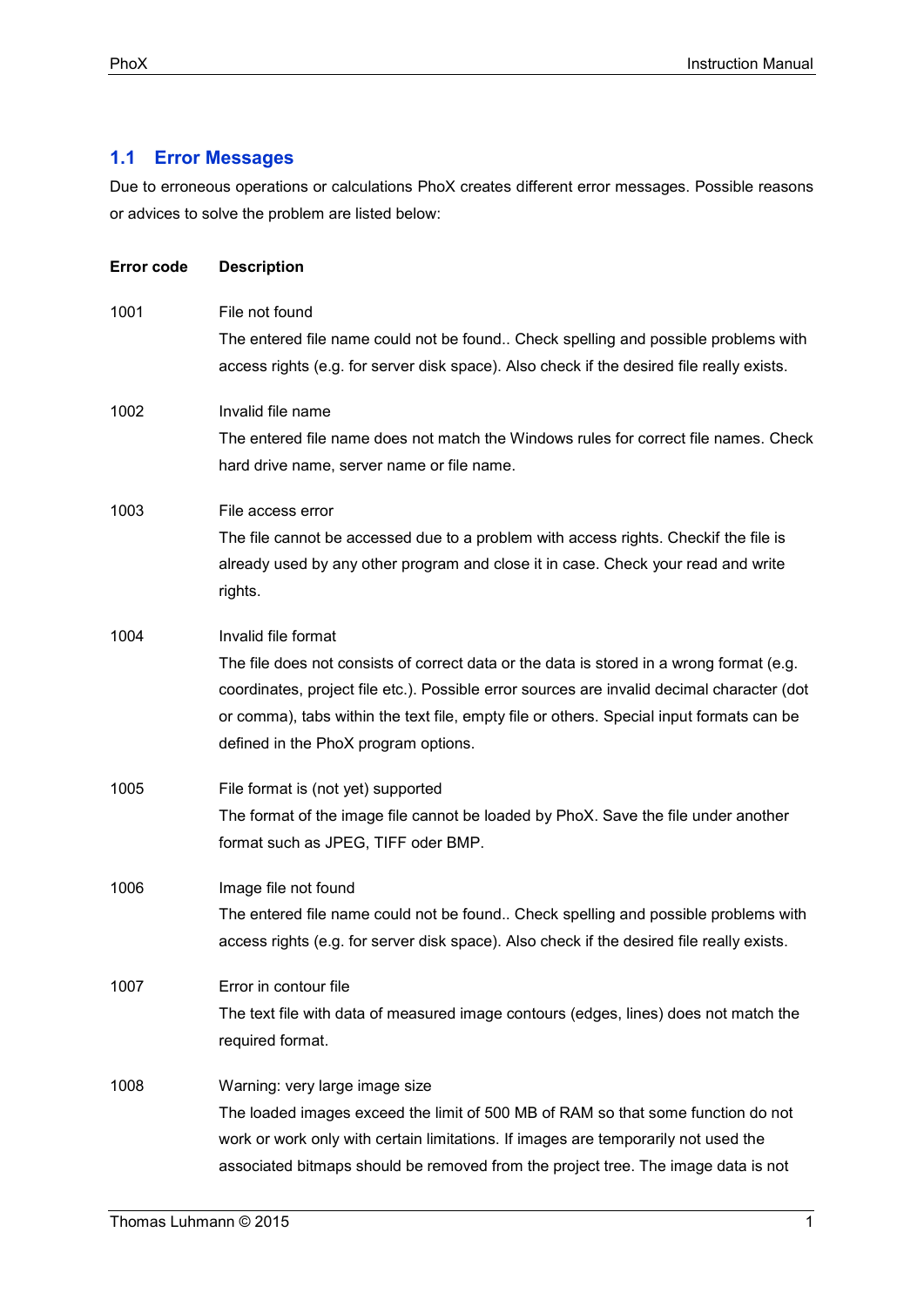## **1.1 Error Messages**

Due to erroneous operations or calculations PhoX creates different error messages. Possible reasons or advices to solve the problem are listed below:

| Error code | <b>Description</b>                                                                                                                                                                                                                                                                                                                                |
|------------|---------------------------------------------------------------------------------------------------------------------------------------------------------------------------------------------------------------------------------------------------------------------------------------------------------------------------------------------------|
| 1001       | File not found<br>The entered file name could not be found Check spelling and possible problems with<br>access rights (e.g. for server disk space). Also check if the desired file really exists.                                                                                                                                                 |
| 1002       | Invalid file name<br>The entered file name does not match the Windows rules for correct file names. Check<br>hard drive name, server name or file name.                                                                                                                                                                                           |
| 1003       | File access error<br>The file cannot be accessed due to a problem with access rights. Checkif the file is<br>already used by any other program and close it in case. Check your read and write<br>rights.                                                                                                                                         |
| 1004       | Invalid file format<br>The file does not consists of correct data or the data is stored in a wrong format (e.g.<br>coordinates, project file etc.). Possible error sources are invalid decimal character (dot<br>or comma), tabs within the text file, empty file or others. Special input formats can be<br>defined in the PhoX program options. |
| 1005       | File format is (not yet) supported<br>The format of the image file cannot be loaded by PhoX. Save the file under another<br>format such as JPEG, TIFF oder BMP.                                                                                                                                                                                   |
| 1006       | Image file not found<br>The entered file name could not be found Check spelling and possible problems with<br>access rights (e.g. for server disk space). Also check if the desired file really exists.                                                                                                                                           |
| 1007       | Error in contour file<br>The text file with data of measured image contours (edges, lines) does not match the<br>required format.                                                                                                                                                                                                                 |
| 1008       | Warning: very large image size<br>The loaded images exceed the limit of 500 MB of RAM so that some function do not<br>work or work only with certain limitations. If images are temporarily not used the<br>associated bitmaps should be removed from the project tree. The image data is not                                                     |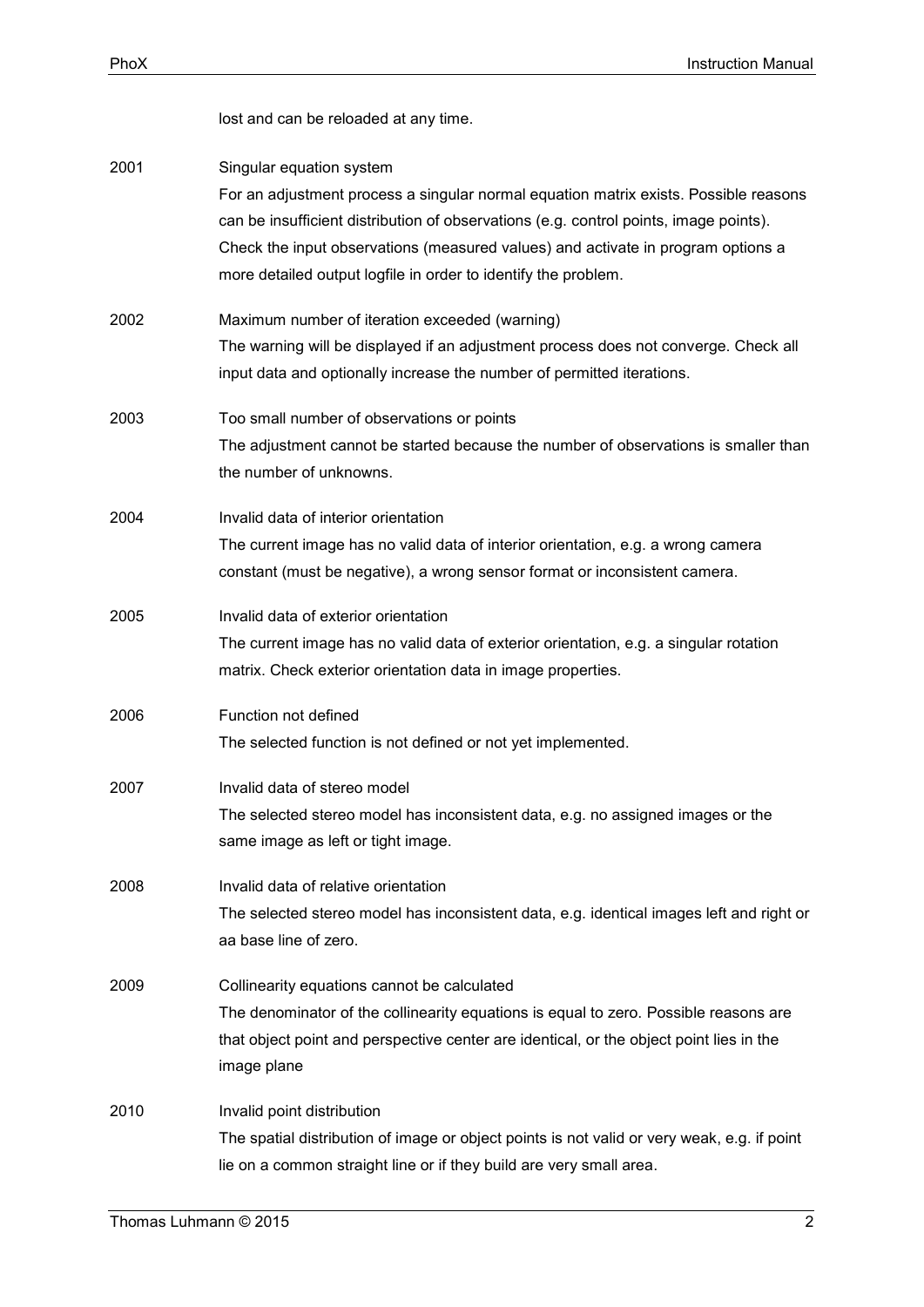|      | lost and can be reloaded at any time.                                                                                                                                                                                                                                                                                                                           |
|------|-----------------------------------------------------------------------------------------------------------------------------------------------------------------------------------------------------------------------------------------------------------------------------------------------------------------------------------------------------------------|
| 2001 | Singular equation system<br>For an adjustment process a singular normal equation matrix exists. Possible reasons<br>can be insufficient distribution of observations (e.g. control points, image points).<br>Check the input observations (measured values) and activate in program options a<br>more detailed output logfile in order to identify the problem. |
| 2002 | Maximum number of iteration exceeded (warning)<br>The warning will be displayed if an adjustment process does not converge. Check all<br>input data and optionally increase the number of permitted iterations.                                                                                                                                                 |
| 2003 | Too small number of observations or points<br>The adjustment cannot be started because the number of observations is smaller than<br>the number of unknowns.                                                                                                                                                                                                    |
| 2004 | Invalid data of interior orientation<br>The current image has no valid data of interior orientation, e.g. a wrong camera<br>constant (must be negative), a wrong sensor format or inconsistent camera.                                                                                                                                                          |
| 2005 | Invalid data of exterior orientation<br>The current image has no valid data of exterior orientation, e.g. a singular rotation<br>matrix. Check exterior orientation data in image properties.                                                                                                                                                                   |
| 2006 | Function not defined<br>The selected function is not defined or not yet implemented.                                                                                                                                                                                                                                                                            |
| 2007 | Invalid data of stereo model<br>The selected stereo model has inconsistent data, e.g. no assigned images or the<br>same image as left or tight image.                                                                                                                                                                                                           |
| 2008 | Invalid data of relative orientation<br>The selected stereo model has inconsistent data, e.g. identical images left and right or<br>aa base line of zero.                                                                                                                                                                                                       |
| 2009 | Collinearity equations cannot be calculated<br>The denominator of the collinearity equations is equal to zero. Possible reasons are<br>that object point and perspective center are identical, or the object point lies in the<br>image plane                                                                                                                   |
| 2010 | Invalid point distribution<br>The spatial distribution of image or object points is not valid or very weak, e.g. if point<br>lie on a common straight line or if they build are very small area.                                                                                                                                                                |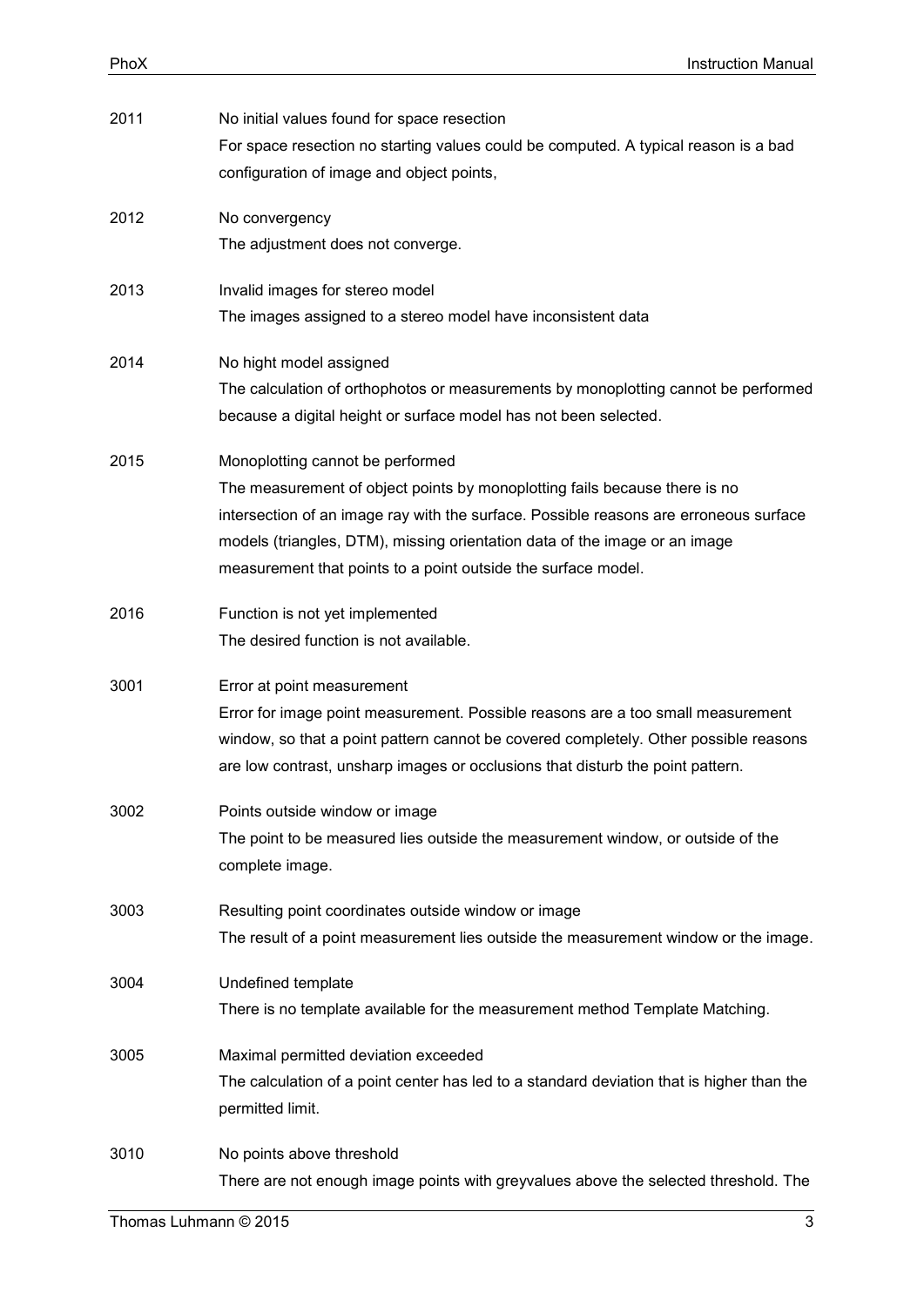| 2011 | No initial values found for space resection<br>For space resection no starting values could be computed. A typical reason is a bad<br>configuration of image and object points,                                                                                                                                                                        |
|------|--------------------------------------------------------------------------------------------------------------------------------------------------------------------------------------------------------------------------------------------------------------------------------------------------------------------------------------------------------|
| 2012 | No convergency<br>The adjustment does not converge.                                                                                                                                                                                                                                                                                                    |
| 2013 | Invalid images for stereo model<br>The images assigned to a stereo model have inconsistent data                                                                                                                                                                                                                                                        |
| 2014 | No hight model assigned<br>The calculation of orthophotos or measurements by monoplotting cannot be performed<br>because a digital height or surface model has not been selected.                                                                                                                                                                      |
| 2015 | Monoplotting cannot be performed<br>The measurement of object points by monoplotting fails because there is no<br>intersection of an image ray with the surface. Possible reasons are erroneous surface<br>models (triangles, DTM), missing orientation data of the image or an image<br>measurement that points to a point outside the surface model. |
| 2016 | Function is not yet implemented<br>The desired function is not available.                                                                                                                                                                                                                                                                              |
| 3001 | Error at point measurement<br>Error for image point measurement. Possible reasons are a too small measurement<br>window, so that a point pattern cannot be covered completely. Other possible reasons<br>are low contrast, unsharp images or occlusions that disturb the point pattern.                                                                |
| 3002 | Points outside window or image<br>The point to be measured lies outside the measurement window, or outside of the<br>complete image.                                                                                                                                                                                                                   |
| 3003 | Resulting point coordinates outside window or image<br>The result of a point measurement lies outside the measurement window or the image.                                                                                                                                                                                                             |
| 3004 | Undefined template<br>There is no template available for the measurement method Template Matching.                                                                                                                                                                                                                                                     |
| 3005 | Maximal permitted deviation exceeded<br>The calculation of a point center has led to a standard deviation that is higher than the<br>permitted limit.                                                                                                                                                                                                  |
| 3010 | No points above threshold<br>There are not enough image points with greyvalues above the selected threshold. The                                                                                                                                                                                                                                       |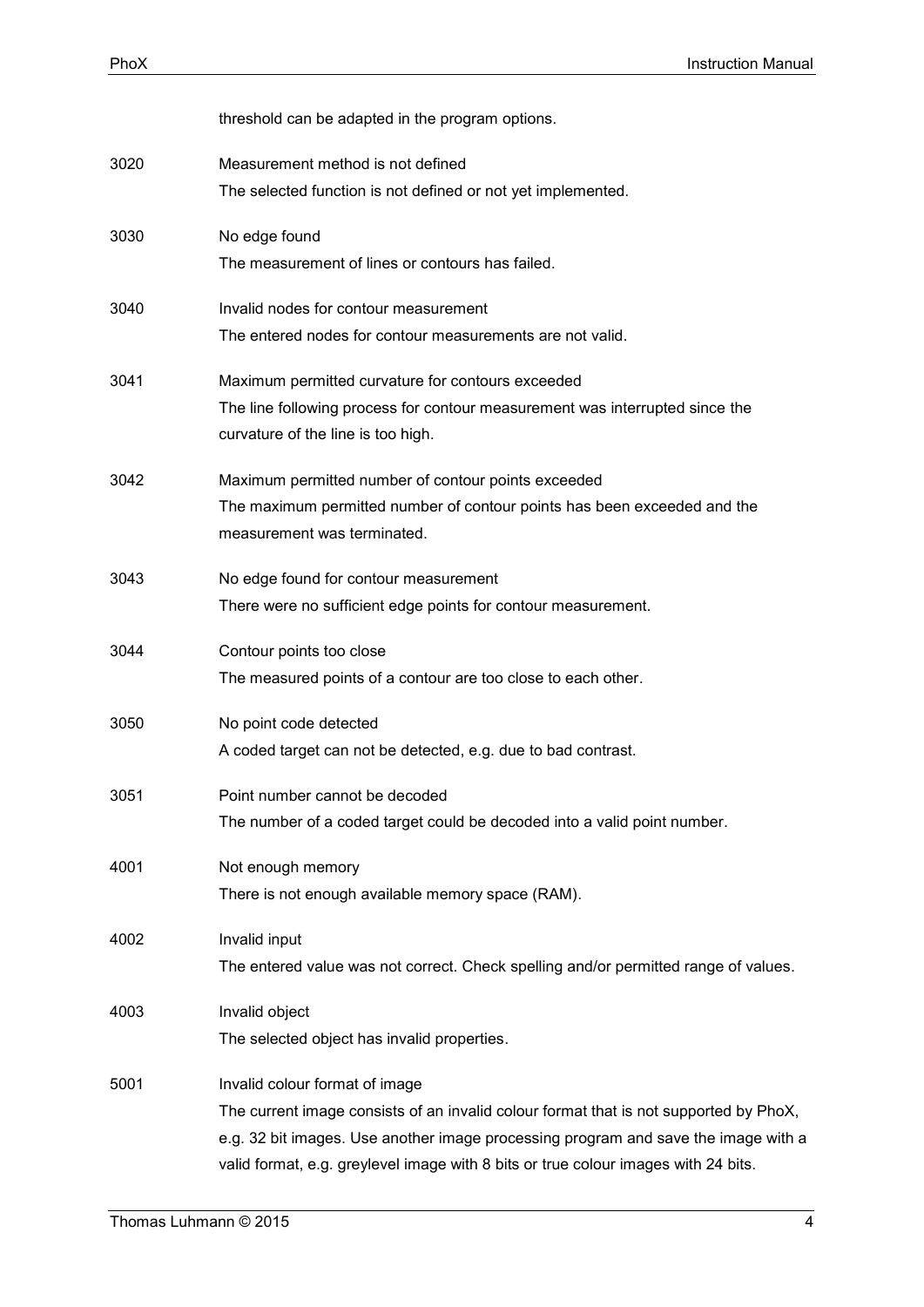|      | threshold can be adapted in the program options.                                                                                                                                                                                                                                                    |
|------|-----------------------------------------------------------------------------------------------------------------------------------------------------------------------------------------------------------------------------------------------------------------------------------------------------|
| 3020 | Measurement method is not defined<br>The selected function is not defined or not yet implemented.                                                                                                                                                                                                   |
| 3030 | No edge found<br>The measurement of lines or contours has failed.                                                                                                                                                                                                                                   |
| 3040 | Invalid nodes for contour measurement<br>The entered nodes for contour measurements are not valid.                                                                                                                                                                                                  |
| 3041 | Maximum permitted curvature for contours exceeded<br>The line following process for contour measurement was interrupted since the<br>curvature of the line is too high.                                                                                                                             |
| 3042 | Maximum permitted number of contour points exceeded<br>The maximum permitted number of contour points has been exceeded and the<br>measurement was terminated.                                                                                                                                      |
| 3043 | No edge found for contour measurement<br>There were no sufficient edge points for contour measurement.                                                                                                                                                                                              |
| 3044 | Contour points too close<br>The measured points of a contour are too close to each other.                                                                                                                                                                                                           |
| 3050 | No point code detected<br>A coded target can not be detected, e.g. due to bad contrast.                                                                                                                                                                                                             |
| 3051 | Point number cannot be decoded<br>The number of a coded target could be decoded into a valid point number.                                                                                                                                                                                          |
| 4001 | Not enough memory<br>There is not enough available memory space (RAM).                                                                                                                                                                                                                              |
| 4002 | Invalid input<br>The entered value was not correct. Check spelling and/or permitted range of values.                                                                                                                                                                                                |
| 4003 | Invalid object<br>The selected object has invalid properties.                                                                                                                                                                                                                                       |
| 5001 | Invalid colour format of image<br>The current image consists of an invalid colour format that is not supported by PhoX,<br>e.g. 32 bit images. Use another image processing program and save the image with a<br>valid format, e.g. greylevel image with 8 bits or true colour images with 24 bits. |